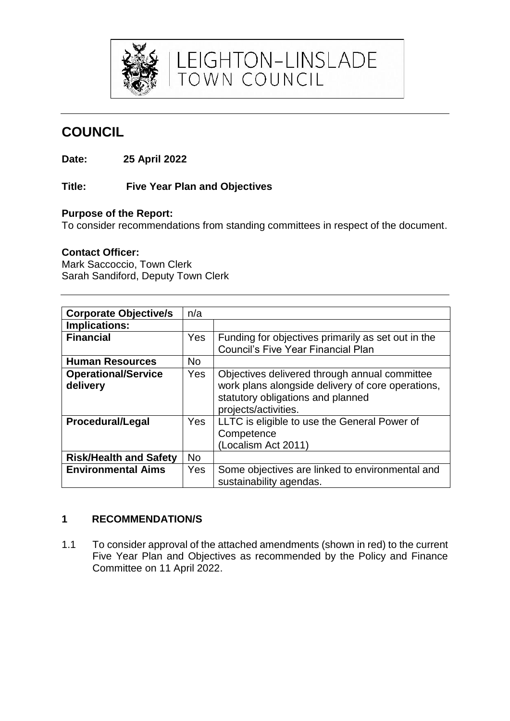

# **COUNCIL**

**Date: 25 April 2022**

## **Title: Five Year Plan and Objectives**

### **Purpose of the Report:**

To consider recommendations from standing committees in respect of the document.

LEIGHTON-LINSLADE<br>TOWN COUNCIL

#### **Contact Officer:**

Mark Saccoccio, Town Clerk Sarah Sandiford, Deputy Town Clerk

| <b>Corporate Objective/s</b>           | n/a       |                                                                                                                                                                 |
|----------------------------------------|-----------|-----------------------------------------------------------------------------------------------------------------------------------------------------------------|
| Implications:                          |           |                                                                                                                                                                 |
| <b>Financial</b>                       | Yes       | Funding for objectives primarily as set out in the<br><b>Council's Five Year Financial Plan</b>                                                                 |
| <b>Human Resources</b>                 | <b>No</b> |                                                                                                                                                                 |
| <b>Operational/Service</b><br>delivery | Yes       | Objectives delivered through annual committee<br>work plans alongside delivery of core operations,<br>statutory obligations and planned<br>projects/activities. |
| <b>Procedural/Legal</b>                | Yes       | LLTC is eligible to use the General Power of<br>Competence<br>(Localism Act 2011)                                                                               |
| <b>Risk/Health and Safety</b>          | <b>No</b> |                                                                                                                                                                 |
| <b>Environmental Aims</b>              | Yes       | Some objectives are linked to environmental and<br>sustainability agendas.                                                                                      |

## **1 RECOMMENDATION/S**

1.1 To consider approval of the attached amendments (shown in red) to the current Five Year Plan and Objectives as recommended by the Policy and Finance Committee on 11 April 2022.